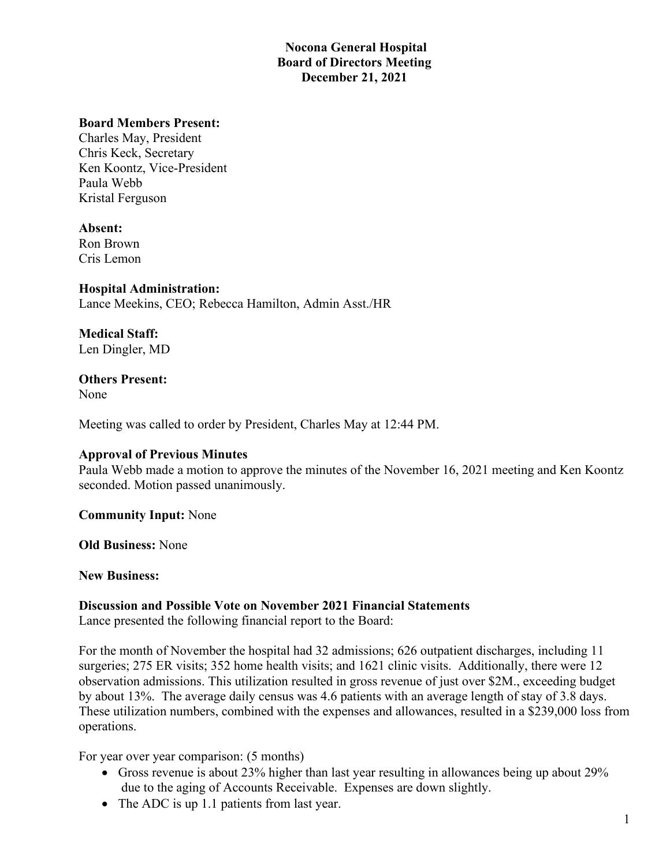# **Nocona General Hospital Board of Directors Meeting December 21, 2021**

#### **Board Members Present:**

Charles May, President Chris Keck, Secretary Ken Koontz, Vice-President Paula Webb Kristal Ferguson

#### **Absent:**

Ron Brown Cris Lemon

#### **Hospital Administration:**

Lance Meekins, CEO; Rebecca Hamilton, Admin Asst./HR

**Medical Staff:** Len Dingler, MD

# **Others Present:**

None

Meeting was called to order by President, Charles May at 12:44 PM.

## **Approval of Previous Minutes**

Paula Webb made a motion to approve the minutes of the November 16, 2021 meeting and Ken Koontz seconded. Motion passed unanimously.

**Community Input:** None

**Old Business:** None

**New Business:**

## **Discussion and Possible Vote on November 2021 Financial Statements**

Lance presented the following financial report to the Board:

For the month of November the hospital had 32 admissions; 626 outpatient discharges, including 11 surgeries; 275 ER visits; 352 home health visits; and 1621 clinic visits. Additionally, there were 12 observation admissions. This utilization resulted in gross revenue of just over \$2M., exceeding budget by about 13%. The average daily census was 4.6 patients with an average length of stay of 3.8 days. These utilization numbers, combined with the expenses and allowances, resulted in a \$239,000 loss from operations.

For year over year comparison: (5 months)

- Gross revenue is about 23% higher than last year resulting in allowances being up about 29% due to the aging of Accounts Receivable. Expenses are down slightly.
- The ADC is up 1.1 patients from last year.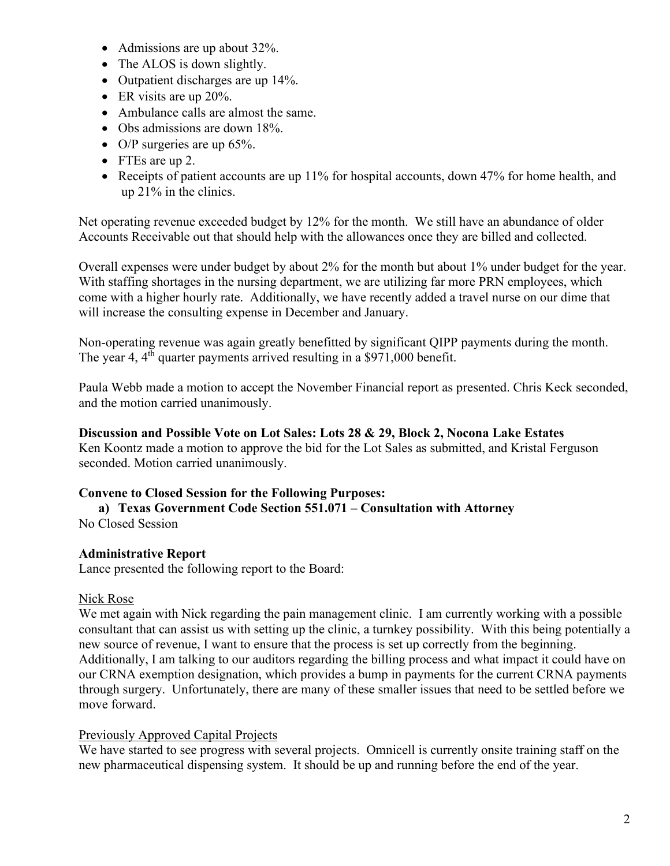- Admissions are up about 32%.
- The ALOS is down slightly.
- Outpatient discharges are up 14%.
- ER visits are up 20%.
- Ambulance calls are almost the same.
- Obs admissions are down 18%.
- O/P surgeries are up 65%.
- FTEs are up 2.
- Receipts of patient accounts are up 11% for hospital accounts, down 47% for home health, and up 21% in the clinics.

Net operating revenue exceeded budget by 12% for the month. We still have an abundance of older Accounts Receivable out that should help with the allowances once they are billed and collected.

Overall expenses were under budget by about 2% for the month but about 1% under budget for the year. With staffing shortages in the nursing department, we are utilizing far more PRN employees, which come with a higher hourly rate. Additionally, we have recently added a travel nurse on our dime that will increase the consulting expense in December and January.

Non-operating revenue was again greatly benefitted by significant QIPP payments during the month. The year 4, 4<sup>th</sup> quarter payments arrived resulting in a \$971,000 benefit.

Paula Webb made a motion to accept the November Financial report as presented. Chris Keck seconded, and the motion carried unanimously.

## **Discussion and Possible Vote on Lot Sales: Lots 28 & 29, Block 2, Nocona Lake Estates**

Ken Koontz made a motion to approve the bid for the Lot Sales as submitted, and Kristal Ferguson seconded. Motion carried unanimously.

## **Convene to Closed Session for the Following Purposes:**

**a) Texas Government Code Section 551.071 – Consultation with Attorney**

No Closed Session

## **Administrative Report**

Lance presented the following report to the Board:

## Nick Rose

We met again with Nick regarding the pain management clinic. I am currently working with a possible consultant that can assist us with setting up the clinic, a turnkey possibility. With this being potentially a new source of revenue, I want to ensure that the process is set up correctly from the beginning. Additionally, I am talking to our auditors regarding the billing process and what impact it could have on our CRNA exemption designation, which provides a bump in payments for the current CRNA payments through surgery. Unfortunately, there are many of these smaller issues that need to be settled before we move forward.

## Previously Approved Capital Projects

We have started to see progress with several projects. Omnicell is currently onsite training staff on the new pharmaceutical dispensing system. It should be up and running before the end of the year.